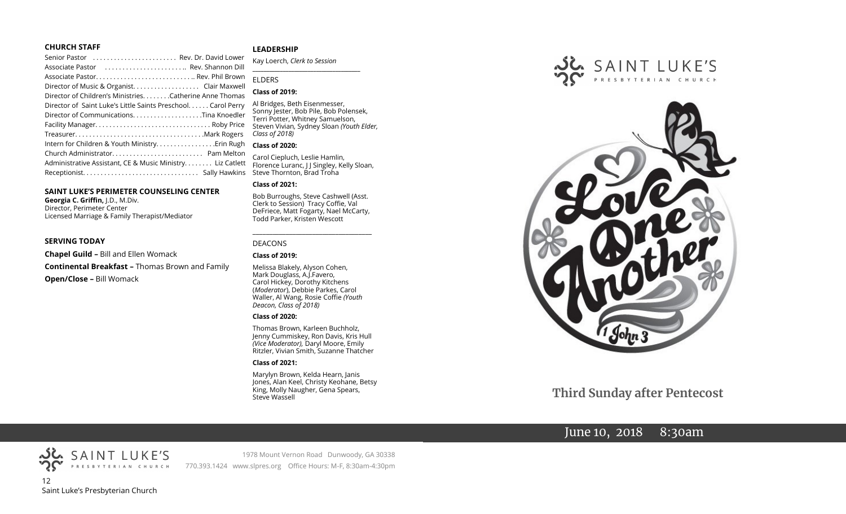### **CHURCH STAFF**

| Senior Pastor  Rev. Dr. David Lower                           |  |
|---------------------------------------------------------------|--|
| Associate Pastor  Rev. Shannon Dill                           |  |
|                                                               |  |
| Director of Music & Organist. Clair Maxwell                   |  |
| Director of Children's Ministries. Catherine Anne Thomas      |  |
| Director of Saint Luke's Little Saints Preschool. Carol Perry |  |
|                                                               |  |
|                                                               |  |
|                                                               |  |
| Intern for Children & Youth Ministry Erin Rugh                |  |
|                                                               |  |
| Administrative Assistant, CE & Music Ministry Liz Catlett     |  |
|                                                               |  |
|                                                               |  |

### **SAINT LUKE'S PERIMETER COUNSELING CENTER**

**Georgia C. Griffin,** J.D., M.Div. Director, Perimeter Center Licensed Marriage & Family Therapist/Mediator

### **SERVING TODAY**

**Chapel Guild –** Bill and Ellen Womack **Continental Breakfast –** Thomas Brown and Family **Open/Close –** Bill Womack

### **LEADERSHIP**

Kay Loerch, *Clerk to Session*  **\_\_\_\_\_\_\_\_\_\_\_\_\_\_\_\_\_\_\_\_\_\_\_\_\_\_\_\_\_\_\_\_\_\_\_\_\_\_\_**

### **ELDERS**

### **Class of 2019:**

Al Bridges, Beth Eisenmesser, Sonny Jester, Bob Pile, Bob Polensek, Terri Potter, Whitney Samuelson, Steven Vivian*,* Sydney Sloan *(Youth Elder, Class of 2018)*

### **Class of 2020:**

Carol Ciepluch, Leslie Hamlin, Florence Luranc, J J Singley, Kelly Sloan, Steve Thornton, Brad Troha

### **Class of 2021:**

Bob Burroughs, Steve Cashwell (Asst. Clerk to Session) Tracy Coffie, Val DeFriece, Matt Fogarty, Nael McCarty, Todd Parker, Kristen Wescott

\_\_\_\_\_\_\_\_\_\_\_\_\_\_\_\_\_\_\_\_\_\_\_\_\_\_\_\_\_\_\_\_\_\_\_\_

### DEACONS

### **Class of 2019:**

Melissa Blakely, Alyson Cohen, Mark Douglass, A.J.Favero, Carol Hickey, Dorothy Kitchens (*Moderator*), Debbie Parkes, Carol Waller, Al Wang, Rosie Coffie *(Youth Deacon, Class of 2018)* 

### **Class of 2020:**

Thomas Brown, Karleen Buchholz, Jenny Cummiskey, Ron Davis, Kris Hull *(Vice Moderator),* Daryl Moore, Emily Ritzler, Vivian Smith, Suzanne Thatcher

### **Class of 2021:**

Marylyn Brown, Kelda Hearn, Janis Jones, Alan Keel, Christy Keohane, Betsy King, Molly Naugher, Gena Spears, Steve Wassell





**Third Sunday after Pentecost**

# June 10, 2018 8:30am



SAINT LUKE'S

1978 Mount Vernon Road Dunwoody, GA 30338 770.393.1424 www.slpres.org Office Hours: M-F, 8:30am-4:30pm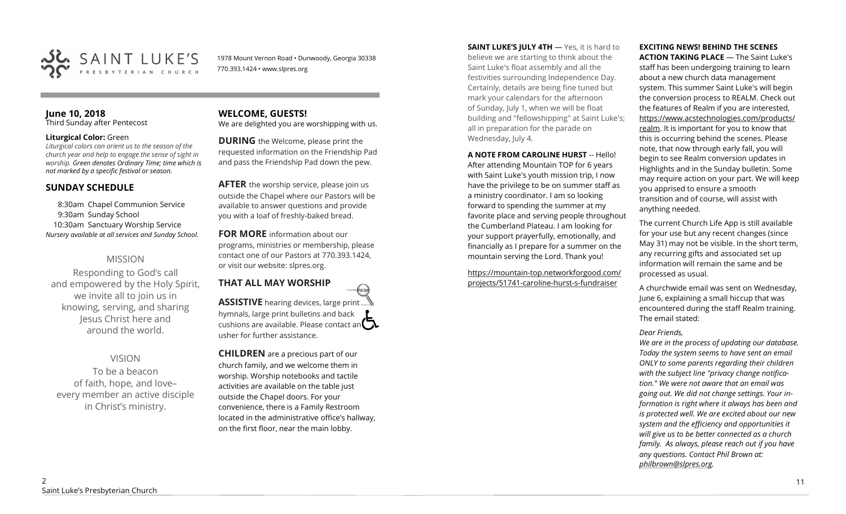

1978 Mount Vernon Road • Dunwoody, Georgia 30338 770.393.1424 • www.slpres.org

### **June 10, 2018**  Third Sunday after Pentecost

### **Liturgical Color:** Green

*Liturgical colors can orient us to the season of the church year and help to engage the sense of sight in worship. Green denotes Ordinary Time; time which is not marked by a specific festival or season.*

# **SUNDAY SCHEDULE**

8:30am Chapel Communion Service 9:30am Sunday School 10:30am Sanctuary Worship Service *Nursery available at all services and Sunday School.* 

# MISSION

Responding to God's call and empowered by the Holy Spirit, we invite all to join us in knowing, serving, and sharing Jesus Christ here and around the world.

# VISION

To be a beacon of faith, hope, and love– every member an active disciple in Christ's ministry.

### **WELCOME, GUESTS!**  We are delighted you are worshipping with us.

**DURING** the Welcome, please print the requested information on the Friendship Pad and pass the Friendship Pad down the pew.

**AFTER** the worship service, please join us outside the Chapel where our Pastors will be available to answer questions and provide you with a loaf of freshly-baked bread.

**FOR MORE** information about our programs, ministries or membership, please contact one of our Pastors at 770.393.1424, or visit our website: slpres.org.

### **THAT ALL MAY WORSHIP** thistex **ASSISTIVE** hearing devices, large print... hymnals, large print bulletins and back cushions are available. Please contact an  $\mathbf{\Omega}$ usher for further assistance.

**CHILDREN** are a precious part of our church family, and we welcome them in worship. Worship notebooks and tactile activities are available on the table just outside the Chapel doors. For your convenience, there is a Family Restroom located in the administrative office's hallway, on the first floor, near the main lobby.

**SAINT LUKE'S JULY 4TH** — Yes, it is hard to believe we are starting to think about the Saint Luke's float assembly and all the festivities surrounding Independence Day. Certainly, details are being fine tuned but mark your calendars for the afternoon of Sunday, July 1, when we will be float building and "fellowshipping" at Saint Luke's; all in preparation for the parade on Wednesday, July 4.

**A NOTE FROM CAROLINE HURST** -- Hello! After attending Mountain TOP for 6 years with Saint Luke's youth mission trip, I now have the privilege to be on summer staff as a ministry coordinator. I am so looking forward to spending the summer at my favorite place and serving people throughout the Cumberland Plateau. I am looking for your support prayerfully, emotionally, and financially as I prepare for a summer on the mountain serving the Lord. Thank you!

https://mountain-[top.networkforgood.com/](https://mountain-top.networkforgood.com/projects/51741-caroline-hurst-s-fundraiser) [projects/51741](https://mountain-top.networkforgood.com/projects/51741-caroline-hurst-s-fundraiser)-caroline-hurst-s-fundraiser

# **EXCITING NEWS! BEHIND THE SCENES**

**ACTION TAKING PLACE** — The Saint Luke's staff has been undergoing training to learn about a new church data management system. This summer Saint Luke's will begin the conversion process to REALM. Check out the features of Realm if you are interested, https://www.acstechnologies.com/products/ realm. It is important for you to know that this is occurring behind the scenes. Please note, that now through early fall, you will begin to see Realm conversion updates in Highlights and in the Sunday bulletin. Some may require action on your part. We will keep you apprised to ensure a smooth transition and of course, will assist with anything needed.

The current Church Life App is still available for your use but any recent changes (since May 31) may not be visible. In the short term, any recurring gifts and associated set up information will remain the same and be processed as usual.

A churchwide email was sent on Wednesday, June 6, explaining a small hiccup that was encountered during the staff Realm training. The email stated:

### *Dear Friends,*

*We are in the process of updating our database. Today the system seems to have sent an email ONLY to some parents regarding their children with the subject line "privacy change notification." We were not aware that an email was going out. We did not change settings. Your information is right where it always has been and is protected well. We are excited about our new system and the efficiency and opportunities it will give us to be better connected as a church family. As always, please reach out if you have any questions. Contact Phil Brown at: philbrown@slpres.org.*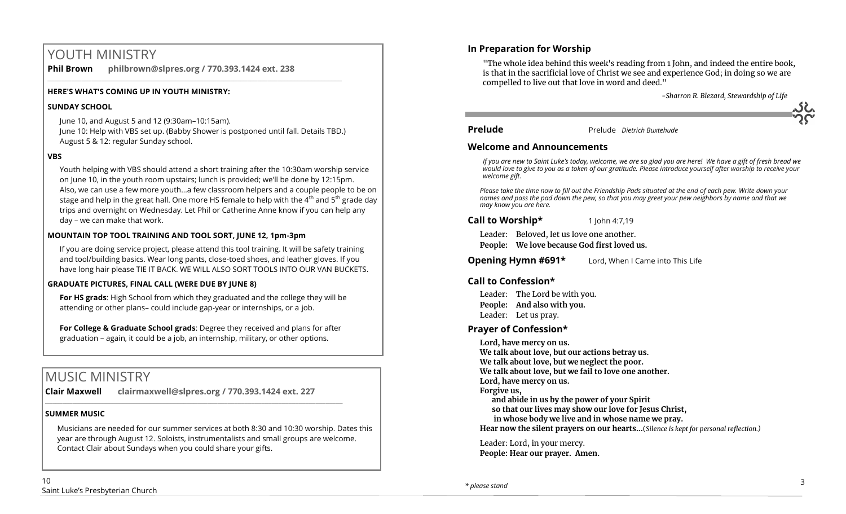# YOUTH MINISTRY

**Phil Brown philbrown@slpres.org / 770.393.1424 ext. 238**  \_\_\_\_\_\_\_\_\_\_\_\_\_\_\_\_\_\_\_\_\_\_\_\_\_\_\_\_\_\_\_\_\_\_\_\_\_\_\_\_\_\_\_\_\_\_\_\_\_\_\_\_\_\_\_\_\_\_\_\_\_\_\_\_\_\_\_\_\_\_\_\_\_\_\_\_\_\_\_\_\_\_\_\_\_\_\_

### **HERE'S WHAT'S COMING UP IN YOUTH MINISTRY:**

### **SUNDAY SCHOOL**

June 10, and August 5 and 12 (9:30am–10:15am).

June 10: Help with VBS set up. (Babby Shower is postponed until fall. Details TBD.) August 5 & 12: regular Sunday school.

### **VBS**

Youth helping with VBS should attend a short training after the 10:30am worship service on June 10, in the youth room upstairs; lunch is provided; we'll be done by 12:15pm. Also, we can use a few more youth…a few classroom helpers and a couple people to be on stage and help in the great hall. One more HS female to help with the  $4<sup>th</sup>$  and  $5<sup>th</sup>$  grade day trips and overnight on Wednesday. Let Phil or Catherine Anne know if you can help any day – we can make that work.

## **MOUNTAIN TOP TOOL TRAINING AND TOOL SORT, JUNE 12, 1pm-3pm**

If you are doing service project, please attend this tool training. It will be safety training and tool/building basics. Wear long pants, close-toed shoes, and leather gloves. If you have long hair please TIE IT BACK. WE WILL ALSO SORT TOOLS INTO OUR VAN BUCKETS.

## **GRADUATE PICTURES, FINAL CALL (WERE DUE BY JUNE 8)**

**For HS grads**: High School from which they graduated and the college they will be attending or other plans– could include gap-year or internships, or a job.

**For College & Graduate School grads**: Degree they received and plans for after graduation – again, it could be a job, an internship, military, or other options.

# MUSIC MINISTRY

**Clair Maxwell clairmaxwell@slpres.org / 770.393.1424 ext. 227**   $\_$  ,  $\_$  ,  $\_$  ,  $\_$  ,  $\_$  ,  $\_$  ,  $\_$  ,  $\_$  ,  $\_$  ,  $\_$  ,  $\_$  ,  $\_$  ,  $\_$  ,  $\_$  ,  $\_$  ,  $\_$  ,  $\_$  ,  $\_$  ,  $\_$ 

### **SUMMER MUSIC**

Musicians are needed for our summer services at both 8:30 and 10:30 worship. Dates this year are through August 12. Soloists, instrumentalists and small groups are welcome. Contact Clair about Sundays when you could share your gifts.

"The whole idea behind this week's reading from 1 John, and indeed the entire book, is that in the sacrificial love of Christ we see and experience God; in doing so we are compelled to live out that love in word and deed."

 *-Sharron R. Blezard, Stewardship of Life*



**Prelude** Prelude *Dietrich Buxtehude*

## **Welcome and Announcements**

*If you are new to Saint Luke's today, welcome, we are so glad you are here! We have a gift of fresh bread we would love to give to you as a token of our gratitude. Please introduce yourself after worship to receive your welcome gift.*

*Please take the time now to fill out the Friendship Pads situated at the end of each pew. Write down your names and pass the pad down the pew, so that you may greet your pew neighbors by name and that we may know you are here.*

## **Call to Worship\*** 1 John 4:7,19

Leader: Beloved, let us love one another.

**People: We love because God first loved us.**

**Opening Hymn #691\*** Lord, When I Came into This Life

# **Call to Confession\***

Leader: The Lord be with you. **People: And also with you.** Leader: Let us pray.

# **Prayer of Confession\***

**Lord, have mercy on us. We talk about love, but our actions betray us. We talk about love, but we neglect the poor. We talk about love, but we fail to love one another. Lord, have mercy on us. Forgive us, and abide in us by the power of your Spirit so that our lives may show our love for Jesus Christ, in whose body we live and in whose name we pray. Hear now the silent prayers on our hearts...**(*Silence is kept for personal reflection.)*

Leader: Lord, in your mercy. **People: Hear our prayer. Amen.**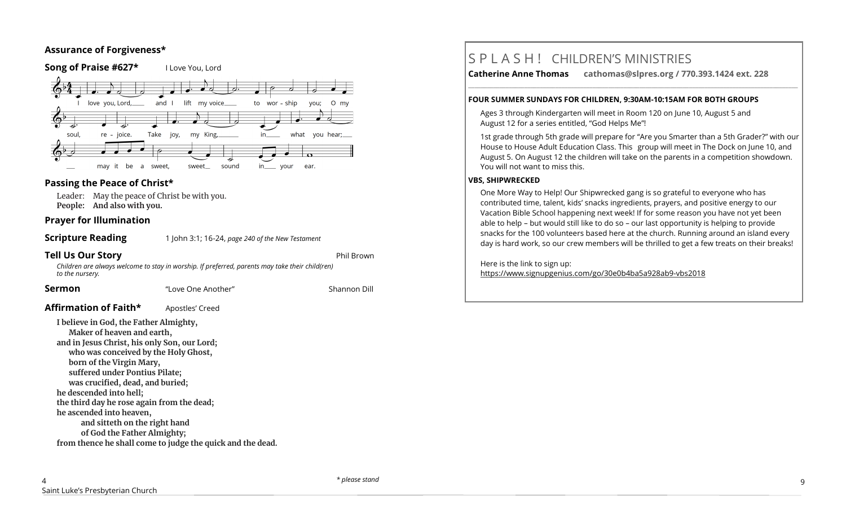# **Assurance of Forgiveness\***



# **Passing the Peace of Christ\***

Leader: May the peace of Christ be with you. **People: And also with you.** 

### **Prayer for Illumination**

**Scripture Reading** 1 John 3:1; 16-24, *page 240 of the New Testament* 

**Tell Us Our Story Phil Brown and Story and Story Association** 

*Children are always welcome to stay in worship. If preferred, parents may take their child(ren) to the nursery.*

**Sermon** "Love One Another" Shannon Dill

Affirmation of Faith\* **Apostles'** Creed

**I believe in God, the Father Almighty, Maker of heaven and earth, and in Jesus Christ, his only Son, our Lord; who was conceived by the Holy Ghost, born of the Virgin Mary, suffered under Pontius Pilate; was crucified, dead, and buried; he descended into hell; the third day he rose again from the dead; he ascended into heaven, and sitteth on the right hand of God the Father Almighty; from thence he shall come to judge the quick and the dead.** S P L A S H ! CHILDREN'S MINISTRIES

**Catherine Anne Thomas cathomas@slpres.org / 770.393.1424 ext. 228** 

**\_\_\_\_\_\_\_\_\_\_\_\_\_\_\_\_\_\_\_\_\_\_\_\_\_\_\_\_\_\_\_\_\_\_\_\_\_\_\_\_\_\_\_\_\_\_\_\_\_\_\_\_\_\_\_\_\_\_\_\_\_\_\_\_\_\_\_\_\_\_\_\_\_\_\_\_\_\_\_\_\_\_\_\_\_\_\_\_\_\_\_\_\_\_\_\_\_\_\_\_\_\_\_\_\_\_** 

### **FOUR SUMMER SUNDAYS FOR CHILDREN, 9:30AM-10:15AM FOR BOTH GROUPS**

Ages 3 through Kindergarten will meet in Room 120 on June 10, August 5 and August 12 for a series entitled, "God Helps Me"!

1st grade through 5th grade will prepare for "Are you Smarter than a 5th Grader?" with our House to House Adult Education Class. This group will meet in The Dock on June 10, and August 5. On August 12 the children will take on the parents in a competition showdown. You will not want to miss this.

### **VBS, SHIPWRECKED**

One More Way to Help! Our Shipwrecked gang is so grateful to everyone who has contributed time, talent, kids' snacks ingredients, prayers, and positive energy to our Vacation Bible School happening next week! If for some reason you have not yet been able to help – but would still like to do so – our last opportunity is helping to provide snacks for the 100 volunteers based here at the church. Running around an island every day is hard work, so our crew members will be thrilled to get a few treats on their breaks!

Here is the link to sign up:

https://www.signupgenius.com/go/30e0b4ba5a928ab9-vbs2018

*\* please stand* 9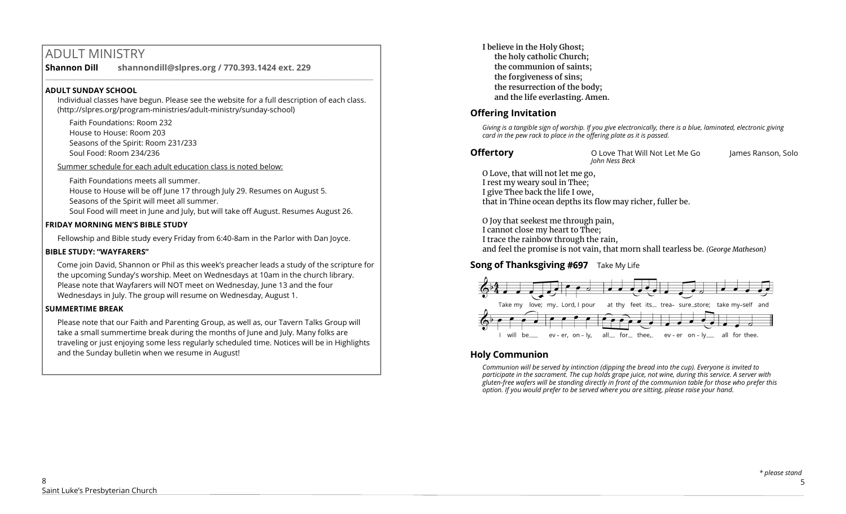# ADULT MINISTRY

**Shannon Dill shannondill@slpres.org / 770.393.1424 ext. 229**   $\_$  ,  $\_$  ,  $\_$  ,  $\_$  ,  $\_$  ,  $\_$  ,  $\_$  ,  $\_$  ,  $\_$  ,  $\_$  ,  $\_$  ,  $\_$  ,  $\_$  ,  $\_$  ,  $\_$  ,  $\_$  ,  $\_$  ,  $\_$  ,  $\_$ 

### **ADULT SUNDAY SCHOOL**

Individual classes have begun. Please see the website for a full description of each class. (http://slpres.org/program-ministries/adult-ministry/sunday-school)

Faith Foundations: Room 232 House to House: Room 203 Seasons of the Spirit: Room 231/233 Soul Food: Room 234/236

Summer schedule for each adult education class is noted below:

Faith Foundations meets all summer.

House to House will be off June 17 through July 29. Resumes on August 5. Seasons of the Spirit will meet all summer.

Soul Food will meet in June and July, but will take off August. Resumes August 26.

## **FRIDAY MORNING MEN'S BIBLE STUDY**

Fellowship and Bible study every Friday from 6:40-8am in the Parlor with Dan Joyce.

## **BIBLE STUDY: "WAYFARERS"**

Come join David, Shannon or Phil as this week's preacher leads a study of the scripture for the upcoming Sunday's worship. Meet on Wednesdays at 10am in the church library. Please note that Wayfarers will NOT meet on Wednesday, June 13 and the four Wednesdays in July. The group will resume on Wednesday, August 1.

# **SUMMERTIME BREAK**

Please note that our Faith and Parenting Group, as well as, our Tavern Talks Group will take a small summertime break during the months of June and July. Many folks are traveling or just enjoying some less regularly scheduled time. Notices will be in Highlights and the Sunday bulletin when we resume in August!

**I believe in the Holy Ghost; the holy catholic Church; the communion of saints; the forgiveness of sins; the resurrection of the body; and the life everlasting. Amen.**

# **Offering Invitation**

*Giving is a tangible sign of worship. If you give electronically, there is a blue, laminated, electronic giving card in the pew rack to place in the offering plate as it is passed.*

**Offertory O Love That Will Not Let Me Go** James Ranson, Solo *John Ness Beck*

O Love, that will not let me go, I rest my weary soul in Thee; I give Thee back the life I owe, that in Thine ocean depths its flow may richer, fuller be.

O Joy that seekest me through pain, I cannot close my heart to Thee; I trace the rainbow through the rain, and feel the promise is not vain, that morn shall tearless be. *(George Matheson)*

# **Song of Thanksgiving #697** Take My Life



# **Holy Communion**

*Communion will be served by intinction (dipping the bread into the cup). Everyone is invited to participate in the sacrament. The cup holds grape juice, not wine, during this service. A server with gluten-free wafers will be standing directly in front of the communion table for those who prefer this option. If you would prefer to be served where you are sitting, please raise your hand.*